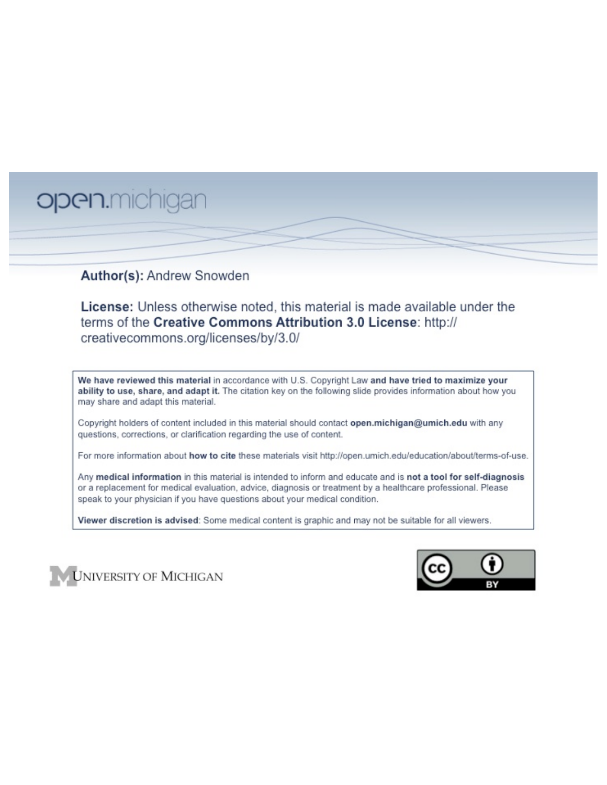# open.michigan

# Author(s): Andrew Snowden

License: Unless otherwise noted, this material is made available under the terms of the Creative Commons Attribution 3.0 License: http:// creativecommons.org/licenses/by/3.0/

We have reviewed this material in accordance with U.S. Copyright Law and have tried to maximize your ability to use, share, and adapt it. The citation key on the following slide provides information about how you may share and adapt this material.

Copyright holders of content included in this material should contact open.michigan@umich.edu with any questions, corrections, or clarification regarding the use of content.

For more information about how to cite these materials visit http://open.umich.edu/education/about/terms-of-use.

Any medical information in this material is intended to inform and educate and is not a tool for self-diagnosis or a replacement for medical evaluation, advice, diagnosis or treatment by a healthcare professional. Please speak to your physician if you have questions about your medical condition.

Viewer discretion is advised: Some medical content is graphic and may not be suitable for all viewers.



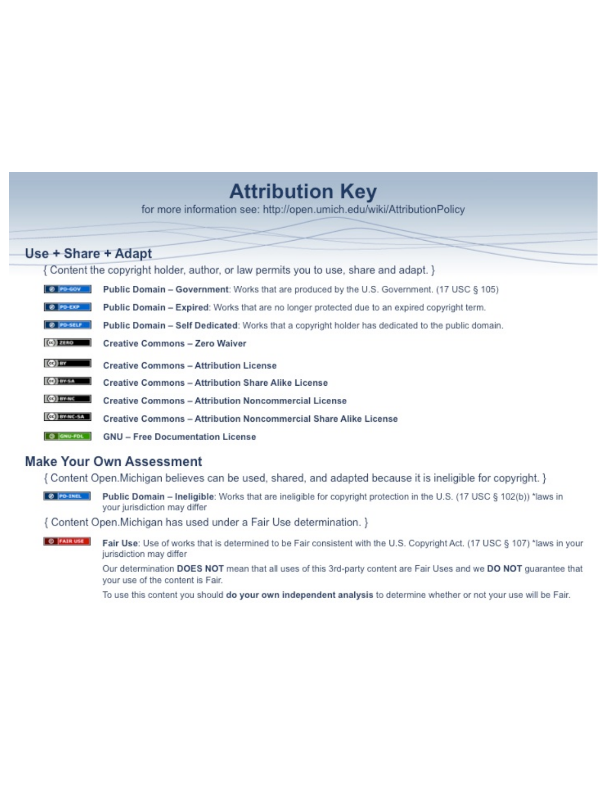# **Attribution Key**

for more information see: http://open.umich.edu/wiki/AttributionPolicy

# Use + Share + Adapt

{ Content the copyright holder, author, or law permits you to use, share and adapt. }

| @ PD-GOV                  | <b>Public Domain - Government:</b> Works that are produced by the U.S. Government. (17 USC § 105) |
|---------------------------|---------------------------------------------------------------------------------------------------|
| @ PD-EXP                  | Public Domain - Expired: Works that are no longer protected due to an expired copyright term.     |
| @ PO-SELF                 | Public Domain - Self Dedicated: Works that a copyright holder has dedicated to the public domain. |
| $(c2)$ 21110              | <b>Creative Commons - Zero Waiver</b>                                                             |
| $\left($ ce) $\right)$ my | <b>Creative Commons - Attribution License</b>                                                     |
| <b>CO</b> ITY-SA          | <b>Creative Commons - Attribution Share Alike License</b>                                         |
| <b>CO</b> BY-NC           | <b>Creative Commons - Attribution Noncommercial License</b>                                       |
| <b>CO</b> BY-NC-SA        | Creative Commons - Attribution Noncommercial Share Alike License                                  |
| GNU-FOL                   | <b>GNU - Free Documentation License</b>                                                           |

# **Make Your Own Assessment**

{ Content Open. Michigan believes can be used, shared, and adapted because it is ineligible for copyright. }

Public Domain - Ineligible: Works that are ineligible for copyright protection in the U.S. (17 USC § 102(b)) \*laws in your jurisdiction may differ

{ Content Open. Michigan has used under a Fair Use determination. }

**O** FAIR USE Fair Use: Use of works that is determined to be Fair consistent with the U.S. Copyright Act. (17 USC § 107) \*laws in your jurisdiction may differ

> Our determination DOES NOT mean that all uses of this 3rd-party content are Fair Uses and we DO NOT guarantee that your use of the content is Fair.

To use this content you should do your own independent analysis to determine whether or not your use will be Fair.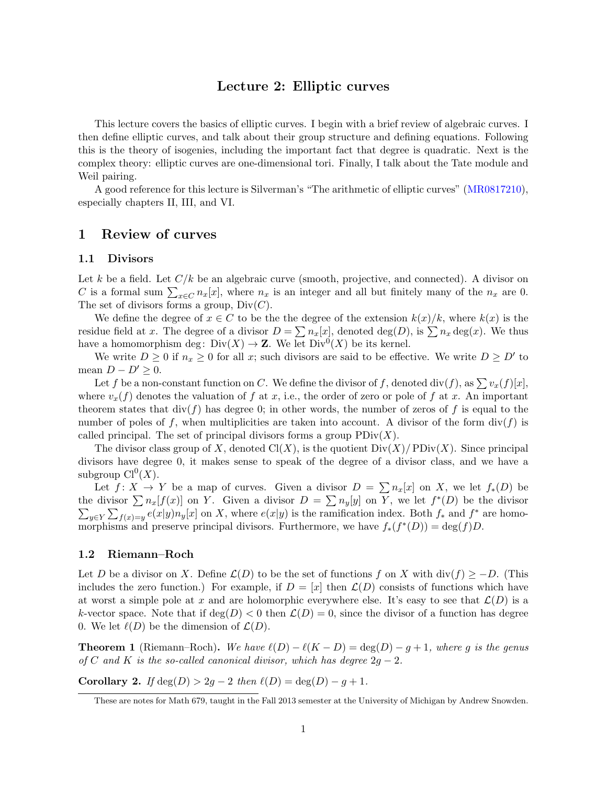# Lecture 2: Elliptic curves

This lecture covers the basics of elliptic curves. I begin with a brief review of algebraic curves. I then define elliptic curves, and talk about their group structure and defining equations. Following this is the theory of isogenies, including the important fact that degree is quadratic. Next is the complex theory: elliptic curves are one-dimensional tori. Finally, I talk about the Tate module and Weil pairing.

A good reference for this lecture is Silverman's "The arithmetic of elliptic curves" (MR0817210), especially chapters II, III, and VI.

## 1 Review of curves

#### 1.1 Divisors

Let *k* be a field. Let  $C/k$  be an algebraic curve (smooth, projective, and connected). A divisor on *C* is a formal sum  $\sum_{x \in C} n_x[x]$ , where  $n_x$  is an integer and all but finitely many of the  $n_x$  are 0. The set of divisors forms a group, Div(*C*).

We define the degree of  $x \in C$  to be the the degree of the extension  $k(x)/k$ , where  $k(x)$  is the residue field at *x*. The degree of a divisor  $D = \sum n_x[x]$ , denoted deg(*D*), is  $\sum n_x \text{deg}(x)$ . We thus have a homomorphism deg:  $Div(X) \to \mathbb{Z}$ . We let  $Div^0(X)$  be its kernel.

We write  $D \ge 0$  if  $n_x \ge 0$  for all x; such divisors are said to be effective. We write  $D \ge D'$  to mean  $D - D' \geq 0$ .

Let *f* be a non-constant function on *C*. We define the divisor of *f*, denoted div(*f*), as  $\sum v_x(f)[x]$ , where  $v_x(f)$  denotes the valuation of f at x, i.e., the order of zero or pole of f at x. An important theorem states that  $div(f)$  has degree 0; in other words, the number of zeros of f is equal to the number of poles of f, when multiplicities are taken into account. A divisor of the form  $div(f)$  is called principal. The set of principal divisors forms a group  $PDiv(X)$ .

The divisor class group of *X*, denoted  $Cl(X)$ , is the quotient  $Div(X)/PDiv(X)$ . Since principal divisors have degree 0, it makes sense to speak of the degree of a divisor class, and we have a subgroup  $Cl^0(X)$ .

Let  $f: X \to Y$  be a map of curves. Given a divisor  $D = \sum n_x[x]$  on X, we let  $f_*(D)$  be the divisor  $\sum n_x[f(x)]$  on *Y*. Given a divisor  $D = \sum n_y[y]$  on *Y*, we let  $f^*$  $\sum$ (*D*) be the divisor  $y \in Y$   $\sum_{f(x)=y} e(x|y) n_y[x]$  on X, where  $e(x|y)$  is the ramification index. Both  $f_*$  and  $f^*$  are homomorphisms and preserve principal divisors. Furthermore, we have  $f_*(f^*(D)) = \deg(f)D$ .

#### 1.2 Riemann–Roch

Let *D* be a divisor on *X*. Define  $\mathcal{L}(D)$  to be the set of functions *f* on *X* with div(*f*)  $\geq -D$ . (This includes the zero function.) For example, if  $D = [x]$  then  $\mathcal{L}(D)$  consists of functions which have at worst a simple pole at *x* and are holomorphic everywhere else. It's easy to see that  $\mathcal{L}(D)$  is a *k*-vector space. Note that if  $deg(D) < 0$  then  $\mathcal{L}(D) = 0$ , since the divisor of a function has degree 0. We let  $\ell(D)$  be the dimension of  $\mathcal{L}(D)$ .

**Theorem 1** (Riemann–Roch). We have  $\ell(D) - \ell(K - D) = \deg(D) - g + 1$ , where g is the genus *of*  $C$  *and*  $K$  *is the so-called canonical divisor, which has degree*  $2q - 2$ *.* 

**Corollary 2.** *If* deg(*D*) > 2*g* - 2 *then*  $\ell(D) = \deg(D) - g + 1$ *.* 

These are notes for Math 679, taught in the Fall 2013 semester at the University of Michigan by Andrew Snowden.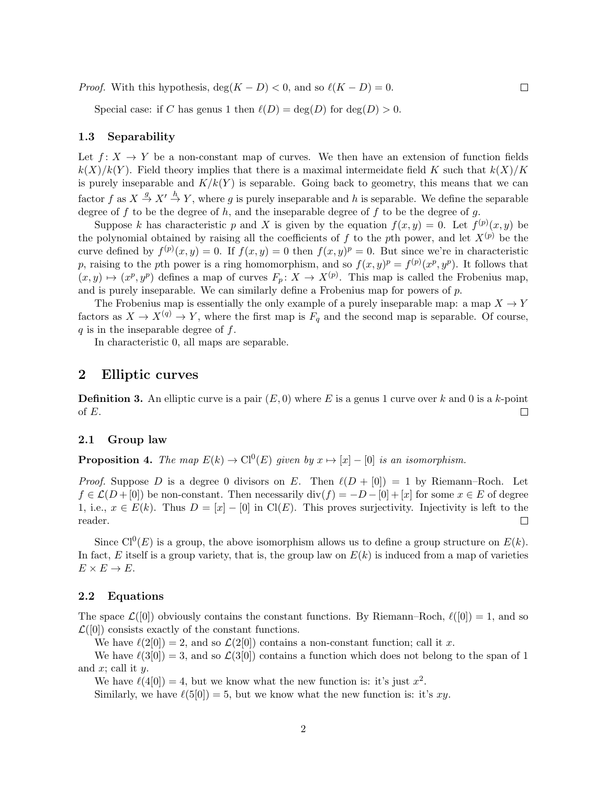*Proof.* With this hypothesis,  $deg(K - D) < 0$ , and so  $\ell(K - D) = 0$ .

Special case: if *C* has genus 1 then  $\ell(D) = \deg(D)$  for  $\deg(D) > 0$ .

#### 1.3 Separability

Let  $f: X \to Y$  be a non-constant map of curves. We then have an extension of function fields  $k(X)/k(Y)$ . Field theory implies that there is a maximal intermeidate field K such that  $k(X)/K$ is purely inseparable and  $K/k(Y)$  is separable. Going back to geometry, this means that we can factor  $f$  as  $X \stackrel{g}{\to} X' \stackrel{h}{\to} Y$ , where g is purely inseparable and h is separable. We define the separable degree of *f* to be the degree of *h*, and the inseparable degree of *f* to be the degree of *g*.

Suppose *k* has characteristic *p* and *X* is given by the equation  $f(x, y) = 0$ . Let  $f^{(p)}(x, y)$  be the polynomial obtained by raising all the coefficients of f to the pth power, and let  $X^{(p)}$  be the curve defined by  $f^{(p)}(x, y) = 0$ . If  $f(x, y) = 0$  then  $f(x, y)^p = 0$ . But since we're in characteristic *p*, raising to the *p*th power is a ring homomorphism, and so  $f(x, y)^p = f^{(p)}(x^p, y^p)$ . It follows that  $(x, y) \mapsto (x^p, y^p)$  defines a map of curves  $F_p: X \to X^{(p)}$ . This map is called the Frobenius map, and is purely inseparable. We can similarly define a Frobenius map for powers of *p*.

The Frobenius map is essentially the only example of a purely inseparable map: a map  $X \to Y$ factors as  $X \to X^{(q)} \to Y$ , where the first map is  $F_q$  and the second map is separable. Of course, *q* is in the inseparable degree of *f*.

In characteristic 0, all maps are separable.

#### 2 Elliptic curves

Definition 3. An elliptic curve is a pair (*E,* 0) where *E* is a genus 1 curve over *k* and 0 is a *k*-point of *E*.  $\Box$ 

#### 2.1 Group law

**Proposition 4.** The map  $E(k) \to C^0(E)$  given by  $x \mapsto [x] - [0]$  is an isomorphism.

*Proof.* Suppose *D* is a degree 0 divisors on *E*. Then  $\ell(D + [0]) = 1$  by Riemann–Roch. Let  $f \in \mathcal{L}(D + [0])$  be non-constant. Then necessarily div( $f$ ) =  $-D - [0] + [x]$  for some  $x \in E$  of degree 1, i.e.,  $x \in E(k)$ . Thus  $D = [x] - [0]$  in Cl(*E*). This proves surjectivity. Injectivity is left to the reader. reader.

Since  $Cl^{0}(E)$  is a group, the above isomorphism allows us to define a group structure on  $E(k)$ . In fact,  $E$  itself is a group variety, that is, the group law on  $E(k)$  is induced from a map of varieties  $E \times E \rightarrow E$ .

#### 2.2 Equations

The space  $\mathcal{L}([0])$  obviously contains the constant functions. By Riemann–Roch,  $\ell([0]) = 1$ , and so  $\mathcal{L}([0])$  consists exactly of the constant functions.

We have  $\ell(2[0]) = 2$ , and so  $\mathcal{L}(2[0])$  contains a non-constant function; call it *x*.

We have  $\ell(3[0]) = 3$ , and so  $\mathcal{L}(3[0])$  contains a function which does not belong to the span of 1 and *x*; call it *y*.

We have  $\ell(4[0]) = 4$ , but we know what the new function is: it's just  $x^2$ .

Similarly, we have  $\ell(5[0]) = 5$ , but we know what the new function is: it's *xy*.

 $\Box$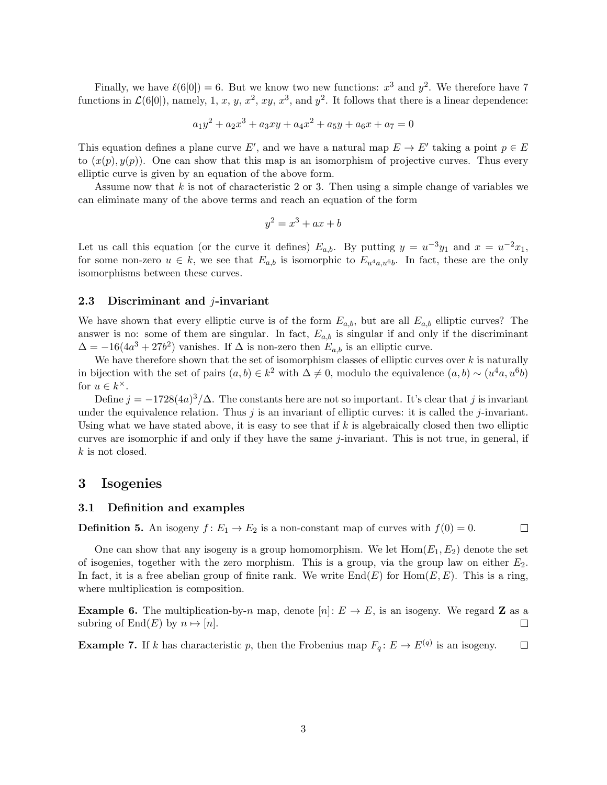Finally, we have  $\ell(6[0]) = 6$ . But we know two new functions:  $x^3$  and  $y^2$ . We therefore have 7 functions in  $\mathcal{L}(6[0])$ , namely, 1, *x*, *y*, *x*<sup>2</sup>, *xy*, *x*<sup>3</sup>, and *y*<sup>2</sup>. It follows that there is a linear dependence:

$$
a_1y^2 + a_2x^3 + a_3xy + a_4x^2 + a_5y + a_6x + a_7 = 0
$$

This equation defines a plane curve *E'*, and we have a natural map  $E \to E'$  taking a point  $p \in E$ to  $(x(p), y(p))$ . One can show that this map is an isomorphism of projective curves. Thus every elliptic curve is given by an equation of the above form.

Assume now that *k* is not of characteristic 2 or 3. Then using a simple change of variables we can eliminate many of the above terms and reach an equation of the form

$$
y^2 = x^3 + ax + b
$$

Let us call this equation (or the curve it defines)  $E_{a,b}$ . By putting  $y = u^{-3}y_1$  and  $x = u^{-2}x_1$ , for some non-zero  $u \in k$ , we see that  $E_{a,b}$  is isomorphic to  $E_{u^4a,u^6b}$ . In fact, these are the only isomorphisms between these curves.

#### 2.3 Discriminant and *j*-invariant

We have shown that every elliptic curve is of the form  $E_{a,b}$ , but are all  $E_{a,b}$  elliptic curves? The answer is no: some of them are singular. In fact,  $E_{a,b}$  is singular if and only if the discriminant  $\Delta = -16(4a^3 + 27b^2)$  vanishes. If  $\Delta$  is non-zero then  $E_{a,b}$  is an elliptic curve.

We have therefore shown that the set of isomorphism classes of elliptic curves over *k* is naturally in bijection with the set of pairs  $(a, b) \in k^2$  with  $\Delta \neq 0$ , modulo the equivalence  $(a, b) \sim (u^4 a, u^6 b)$ for  $u \in k^{\times}$ .

Define  $j = -1728(4a)^3/\Delta$ . The constants here are not so important. It's clear that j is invariant under the equivalence relation. Thus  $j$  is an invariant of elliptic curves: it is called the  $j$ -invariant. Using what we have stated above, it is easy to see that if  $k$  is algebraically closed then two elliptic curves are isomorphic if and only if they have the same *j*-invariant. This is not true, in general, if *k* is not closed.

#### 3 Isogenies

#### 3.1 Definition and examples

**Definition 5.** An isogeny  $f: E_1 \to E_2$  is a non-constant map of curves with  $f(0) = 0$ .

One can show that any isogeny is a group homomorphism. We let  $Hom(E_1, E_2)$  denote the set of isogenies, together with the zero morphism. This is a group, via the group law on either *E*2. In fact, it is a free abelian group of finite rank. We write  $\text{End}(E)$  for  $\text{Hom}(E,E)$ . This is a ring, where multiplication is composition.

 $\Box$ 

**Example 6.** The multiplication-by-*n* map, denote  $[n]: E \to E$ , is an isogeny. We regard **Z** as a subring of End(E) by  $n \mapsto [n]$ . subring of  $End(E)$  by  $n \mapsto [n]$ .

**Example 7.** If *k* has characteristic *p*, then the Frobenius map  $F_q: E \to E^{(q)}$  is an isogeny.  $\Box$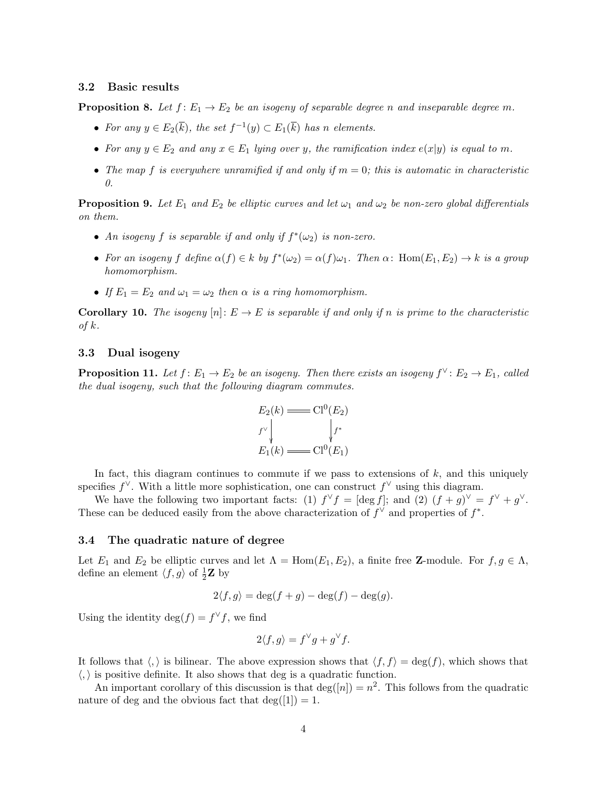#### 3.2 Basic results

**Proposition 8.** Let  $f: E_1 \to E_2$  be an isogeny of separable degree *n* and inseparable degree *m*.

- For any  $y \in E_2(\overline{k})$ , the set  $f^{-1}(y) \subset E_1(\overline{k})$  has *n* elements.
- For any  $y \in E_2$  and any  $x \in E_1$  *lying over y, the ramification index*  $e(x|y)$  *is equal to m.*
- The map  $f$  is everywhere unramified if and only if  $m = 0$ ; this is automatic in characteristic *0.*

**Proposition 9.** Let  $E_1$  and  $E_2$  be elliptic curves and let  $\omega_1$  and  $\omega_2$  be non-zero global differentials *on them.*

- An isogeny *f* is separable if and only if  $f^*(\omega_2)$  is non-zero.
- For an isogeny *f* define  $\alpha(f) \in k$  by  $f^*(\omega_2) = \alpha(f)\omega_1$ . Then  $\alpha$ : Hom $(E_1, E_2) \to k$  is a group *homomorphism.*
- If  $E_1 = E_2$  and  $\omega_1 = \omega_2$  then  $\alpha$  is a ring homomorphism.

**Corollary 10.** The isogeny  $[n]: E \to E$  is separable if and only if *n* is prime to the characteristic *of k.*

#### 3.3 Dual isogeny

**Proposition 11.** Let  $f: E_1 \to E_2$  be an isogeny. Then there exists an isogeny  $f^{\vee}: E_2 \to E_1$ , called *the dual isogeny, such that the following diagram commutes.*

$$
E_2(k) = C1^0(E_2)
$$
  
\n
$$
f^{\vee} \downarrow f^*
$$
  
\n
$$
E_1(k) = C1^0(E_1)
$$

In fact, this diagram continues to commute if we pass to extensions of *k*, and this uniquely specifies  $f^{\vee}$ . With a little more sophistication, one can construct  $f^{\vee}$  using this diagram.

We have the following two important facts: (1)  $f^{\vee} f = [\deg f]$ ; and (2)  $(f + g)^{\vee} = f^{\vee} + g^{\vee}$ . These can be deduced easily from the above characterization of  $f^{\vee}$  and properties of  $f^*$ .

#### 3.4 The quadratic nature of degree

Let  $E_1$  and  $E_2$  be elliptic curves and let  $\Lambda = \text{Hom}(E_1, E_2)$ , a finite free **Z**-module. For  $f, g \in \Lambda$ , define an element  $\langle f, g \rangle$  of  $\frac{1}{2}\mathbf{Z}$  by

$$
2\langle f,g\rangle = \deg(f+g) - \deg(f) - \deg(g).
$$

Using the identity deg $(f) = f^{\vee} f$ , we find

$$
2\langle f,g\rangle = f^{\vee}g + g^{\vee}f.
$$

It follows that  $\langle , \rangle$  is bilinear. The above expression shows that  $\langle f, f \rangle = \deg(f)$ , which shows that  $\langle,\rangle$  is positive definite. It also shows that deg is a quadratic function.

An important corollary of this discussion is that  $\deg(|n|) = n^2$ . This follows from the quadratic nature of deg and the obvious fact that  $deg([1]) = 1$ .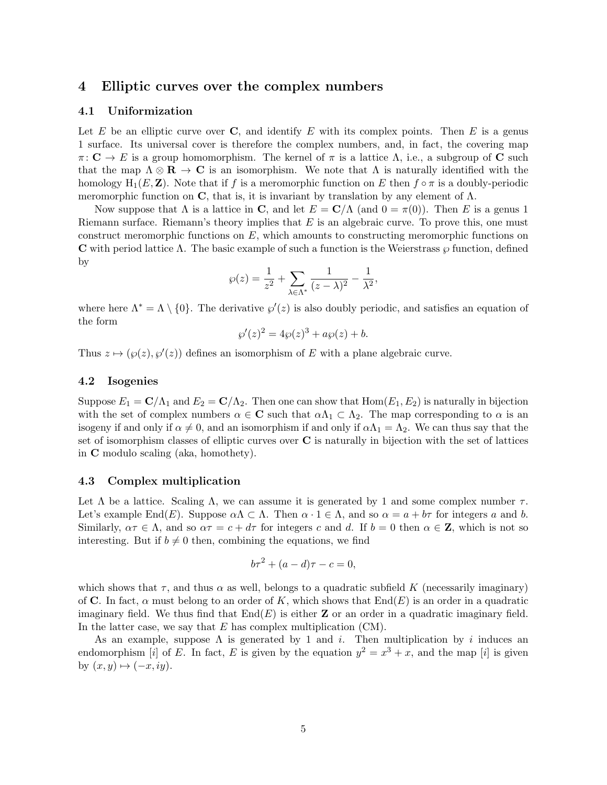#### 4 Elliptic curves over the complex numbers

#### 4.1 Uniformization

Let *E* be an elliptic curve over **C**, and identify *E* with its complex points. Then *E* is a genus 1 surface. Its universal cover is therefore the complex numbers, and, in fact, the covering map  $\pi: \mathbf{C} \to E$  is a group homomorphism. The kernel of  $\pi$  is a lattice  $\Lambda$ , i.e., a subgroup of **C** such that the map  $\Lambda \otimes \mathbf{R} \to \mathbf{C}$  is an isomorphism. We note that  $\Lambda$  is naturally identified with the homology  $H_1(E, \mathbf{Z})$ . Note that if f is a meromorphic function on E then  $f \circ \pi$  is a doubly-periodic meromorphic function on C, that is, it is invariant by translation by any element of  $\Lambda$ .

Now suppose that  $\Lambda$  is a lattice in **C**, and let  $E = \mathbf{C}/\Lambda$  (and  $0 = \pi(0)$ ). Then *E* is a genus 1 Riemann surface. Riemann's theory implies that *E* is an algebraic curve. To prove this, one must construct meromorphic functions on *E*, which amounts to constructing meromorphic functions on **C** with period lattice  $\Lambda$ . The basic example of such a function is the Weierstrass  $\wp$  function, defined by

$$
\wp(z) = \frac{1}{z^2} + \sum_{\lambda \in \Lambda^*} \frac{1}{(z - \lambda)^2} - \frac{1}{\lambda^2},
$$

where here  $\Lambda^* = \Lambda \setminus \{0\}$ . The derivative  $\wp'(z)$  is also doubly periodic, and satisfies an equation of the form

$$
\wp'(z)^2 = 4\wp(z)^3 + a\wp(z) + b.
$$

Thus  $z \mapsto (\varphi(z), \varphi'(z))$  defines an isomorphism of *E* with a plane algebraic curve.

#### 4.2 Isogenies

Suppose  $E_1 = \mathbb{C}/\Lambda_1$  and  $E_2 = \mathbb{C}/\Lambda_2$ . Then one can show that  $\text{Hom}(E_1, E_2)$  is naturally in bijection with the set of complex numbers  $\alpha \in \mathbb{C}$  such that  $\alpha \Lambda_1 \subset \Lambda_2$ . The map corresponding to  $\alpha$  is an isogeny if and only if  $\alpha \neq 0$ , and an isomorphism if and only if  $\alpha \Lambda_1 = \Lambda_2$ . We can thus say that the set of isomorphism classes of elliptic curves over C is naturally in bijection with the set of lattices in C modulo scaling (aka, homothety).

#### 4.3 Complex multiplication

Let  $\Lambda$  be a lattice. Scaling  $\Lambda$ , we can assume it is generated by 1 and some complex number  $\tau$ . Let's example End(*E*). Suppose  $\alpha \Lambda \subset \Lambda$ . Then  $\alpha \cdot 1 \in \Lambda$ , and so  $\alpha = a + b\tau$  for integers a and b. Similarly,  $\alpha \tau \in \Lambda$ , and so  $\alpha \tau = c + d\tau$  for integers *c* and *d*. If  $b = 0$  then  $\alpha \in \mathbb{Z}$ , which is not so interesting. But if  $b \neq 0$  then, combining the equations, we find

$$
b\tau^2 + (a-d)\tau - c = 0,
$$

which shows that  $\tau$ , and thus  $\alpha$  as well, belongs to a quadratic subfield K (necessarily imaginary) of **C**. In fact,  $\alpha$  must belong to an order of K, which shows that  $\text{End}(E)$  is an order in a quadratic imaginary field. We thus find that  $\text{End}(E)$  is either **Z** or an order in a quadratic imaginary field. In the latter case, we say that *E* has complex multiplication (CM).

As an example, suppose  $\Lambda$  is generated by 1 and *i*. Then multiplication by *i* induces an endomorphism [*i*] of *E*. In fact, *E* is given by the equation  $y^2 = x^3 + x$ , and the map [*i*] is given by  $(x, y) \mapsto (-x, iy)$ .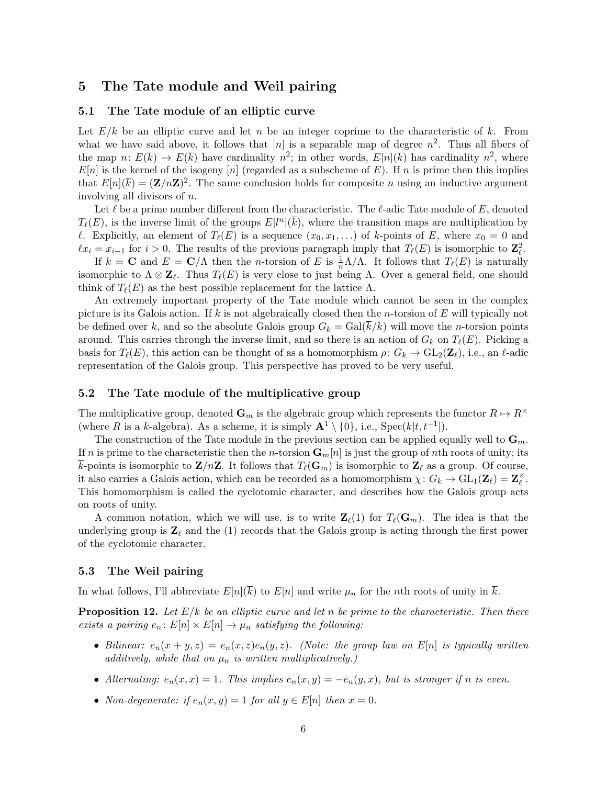## 5 The Tate module and Weil pairing

#### 5.1 The Tate module of an elliptic curve

Let  $E/k$  be an elliptic curve and let *n* be an integer coprime to the characteristic of  $k$ . From what we have said above, it follows that  $[n]$  is a separable map of degree  $n^2$ . Thus all fibers of the map  $n: E(\overline{k}) \to E(\overline{k})$  have cardinality  $n^2$ ; in other words,  $E[n](\overline{k})$  has cardinality  $n^2$ , where  $E[n]$  is the kernel of the isogeny [*n*] (regarded as a subscheme of  $E$ ). If *n* is prime then this implies that  $E[n](\overline{k})=(\mathbf{Z}/n\mathbf{Z})^2$ . The same conclusion holds for composite *n* using an inductive argument involving all divisors of *n*.

Let  $\ell$  be a prime number different from the characteristic. The  $\ell$ -adic Tate module of  $E$ , denoted  $T_{\ell}(E)$ , is the inverse limit of the groups  $E[l^n](\overline{k})$ , where the transition maps are multiplication by  $\ell$ . Explicitly, an element of  $T_{\ell}(E)$  is a sequence  $(x_0, x_1, \ldots)$  of  $\overline{k}$ -points of *E*, where  $x_0 = 0$  and  $\ell x_i = x_{i-1}$  for  $i > 0$ . The results of the previous paragraph imply that  $T_\ell(E)$  is isomorphic to  $\mathbb{Z}_{\ell}^2$ .

If  $k = \mathbf{C}$  and  $E = \mathbf{C}/\Lambda$  then the *n*-torsion of *E* is  $\frac{1}{n}\Lambda/\Lambda$ . It follows that  $T_{\ell}(E)$  is naturally isomorphic to  $\Lambda \otimes \mathbf{Z}_{\ell}$ . Thus  $T_{\ell}(E)$  is very close to just being  $\Lambda$ . Over a general field, one should think of  $T_{\ell}(E)$  as the best possible replacement for the lattice  $\Lambda$ .

An extremely important property of the Tate module which cannot be seen in the complex picture is its Galois action. If *k* is not algebraically closed then the *n*-torsion of *E* will typically not be defined over k, and so the absolute Galois group  $G_k = \text{Gal}(k/k)$  will move the *n*-torsion points around. This carries through the inverse limit, and so there is an action of  $G_k$  on  $T_{\ell}(E)$ . Picking a basis for  $T_{\ell}(E)$ , this action can be thought of as a homomorphism  $\rho: G_k \to GL_2(\mathbb{Z}_\ell)$ , i.e., an  $\ell$ -adic representation of the Galois group. This perspective has proved to be very useful.

#### 5.2 The Tate module of the multiplicative group

The multiplicative group, denoted  $\mathbf{G}_m$  is the algebraic group which represents the functor  $R \mapsto R^\times$ (where *R* is a *k*-algebra). As a scheme, it is simply  $\mathbf{A}^1 \setminus \{0\}$ , i.e.,  $\text{Spec}(k[t, t^{-1}])$ .

The construction of the Tate module in the previous section can be applied equally well to  $\mathbf{G}_m$ . If *n* is prime to the characteristic then the *n*-torsion  $\mathbf{G}_m[n]$  is just the group of *n*th roots of unity; its  $\overline{k}$ -points is isomorphic to  $\mathbf{Z}/n\mathbf{Z}$ . It follows that  $T_{\ell}(\mathbf{G}_m)$  is isomorphic to  $\mathbf{Z}_{\ell}$  as a group. Of course, it also carries a Galois action, which can be recorded as a homomorphism  $\chi: G_k \to \text{GL}_1(\mathbf{Z}_\ell) = \mathbf{Z}_\ell^\times$ . This homomorphism is called the cyclotomic character, and describes how the Galois group acts on roots of unity.

A common notation, which we will use, is to write  $\mathbf{Z}_{\ell}(1)$  for  $T_{\ell}(\mathbf{G}_m)$ . The idea is that the underlying group is  $\mathbf{Z}_{\ell}$  and the (1) records that the Galois group is acting through the first power of the cyclotomic character.

#### 5.3 The Weil pairing

In what follows, I'll abbreviate  $E[n](\overline{k})$  to  $E[n]$  and write  $\mu_n$  for the *n*th roots of unity in  $\overline{k}$ .

Proposition 12. *Let E/k be an elliptic curve and let n be prime to the characteristic. Then there exists a pairing*  $e_n$ :  $E[n] \times E[n] \rightarrow \mu_n$  *satisfying the following:* 

- *Bilinear:*  $e_n(x+y,z) = e_n(x,z)e_n(y,z)$ *. (Note: the group law on*  $E[n]$  *is typically written additively, while that on µ<sup>n</sup> is written multiplicatively.)*
- *Alternating:*  $e_n(x, x) = 1$ *. This implies*  $e_n(x, y) = -e_n(y, x)$ *, but is stronger if n is even.*
- *Non-degenerate:* if  $e_n(x, y) = 1$  *for all*  $y \in E[n]$  *then*  $x = 0$ *.*